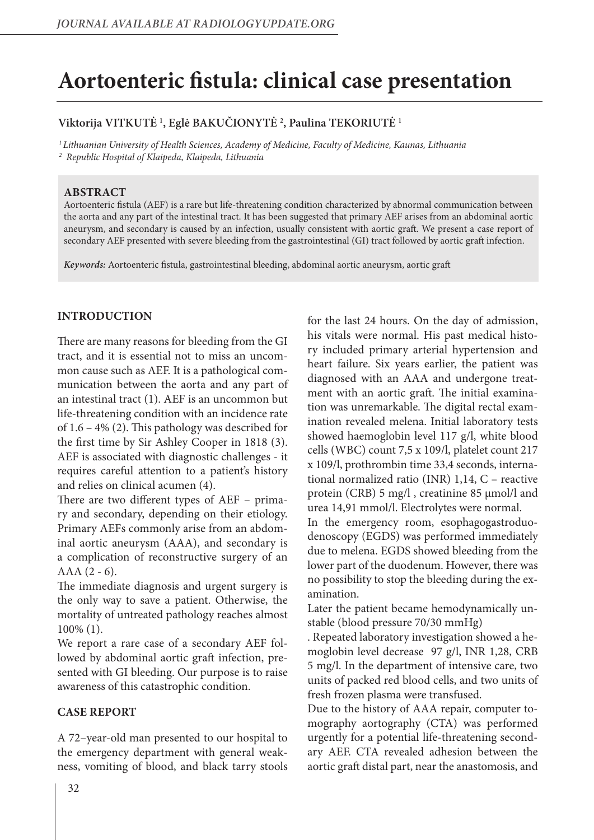# **Aortoenteric fistula: clinical case presentation**

# **Viktorija VITKUTĖ 1 , Eglė BAKUČIONYTĖ 2 , Paulina TEKORIUTĖ 1**

*1 Lithuanian University of Health Sciences, Academy of Medicine, Faculty of Medicine, Kaunas, Lithuania 2 Republic Hospital of Klaipeda, Klaipeda, Lithuania*

### **ABSTRACT**

Aortoenteric fistula (AEF) is a rare but life-threatening condition characterized by abnormal communication between the aorta and any part of the intestinal tract. It has been suggested that primary AEF arises from an abdominal aortic aneurysm, and secondary is caused by an infection, usually consistent with aortic graft. We present a case report of secondary AEF presented with severe bleeding from the gastrointestinal (GI) tract followed by aortic graft infection.

*Keywords:* Aortoenteric fistula, gastrointestinal bleeding, abdominal aortic aneurysm, aortic graft

## **INTRODUCTION**

There are many reasons for bleeding from the GI tract, and it is essential not to miss an uncommon cause such as AEF. It is a pathological communication between the aorta and any part of an intestinal tract (1). AEF is an uncommon but life-threatening condition with an incidence rate of 1.6 – 4% (2). This pathology was described for the first time by Sir Ashley Cooper in 1818 (3). AEF is associated with diagnostic challenges - it requires careful attention to a patient's history and relies on clinical acumen (4).

There are two different types of AEF – primary and secondary, depending on their etiology. Primary AEFs commonly arise from an abdominal aortic aneurysm (AAA), and secondary is a complication of reconstructive surgery of an AAA (2 - 6).

The immediate diagnosis and urgent surgery is the only way to save a patient. Otherwise, the mortality of untreated pathology reaches almost 100% (1).

We report a rare case of a secondary AEF followed by abdominal aortic graft infection, presented with GI bleeding. Our purpose is to raise awareness of this catastrophic condition.

## **CASE REPORT**

A 72–year-old man presented to our hospital to the emergency department with general weakness, vomiting of blood, and black tarry stools for the last 24 hours. On the day of admission, his vitals were normal. His past medical history included primary arterial hypertension and heart failure. Six years earlier, the patient was diagnosed with an AAA and undergone treatment with an aortic graft. The initial examination was unremarkable. The digital rectal examination revealed melena. Initial laboratory tests showed haemoglobin level 117 g/l, white blood cells (WBC) count 7,5 x 109/l, platelet count 217 x 109/l, prothrombin time 33,4 seconds, international normalized ratio (INR) 1,14, C – reactive protein (CRB) 5 mg/l , creatinine 85 μmol/l and urea 14,91 mmol/l. Electrolytes were normal.

In the emergency room, esophagogastroduodenoscopy (EGDS) was performed immediately due to melena. EGDS showed bleeding from the lower part of the duodenum. However, there was no possibility to stop the bleeding during the examination.

Later the patient became hemodynamically unstable (blood pressure 70/30 mmHg)

. Repeated laboratory investigation showed a hemoglobin level decrease 97 g/l, INR 1,28, CRB 5 mg/l. In the department of intensive care, two units of packed red blood cells, and two units of fresh frozen plasma were transfused.

Due to the history of AAA repair, computer tomography aortography (CTA) was performed urgently for a potential life-threatening secondary AEF. CTA revealed adhesion between the aortic graft distal part, near the anastomosis, and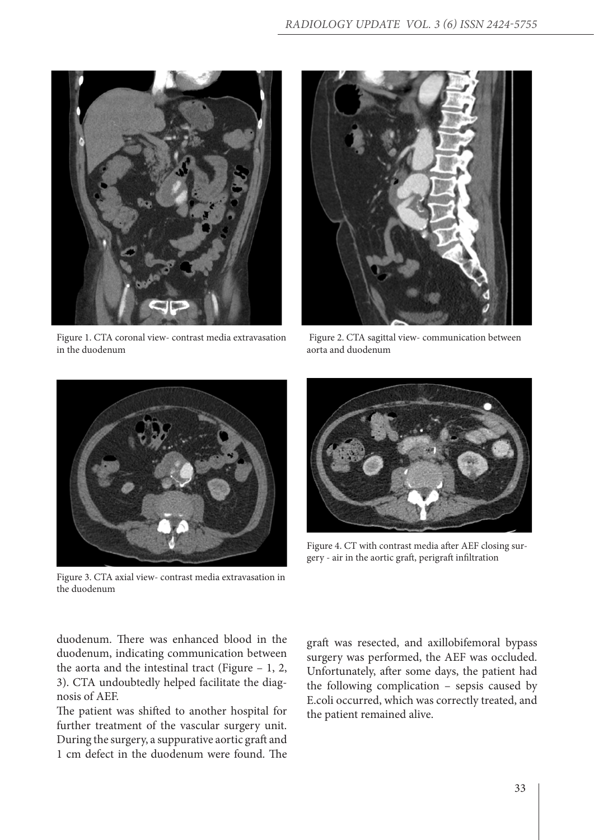

Figure 1. CTA coronal view- contrast media extravasation in the duodenum



 Figure 2. CTA sagittal view- communication between aorta and duodenum



Figure 3. CTA axial view- contrast media extravasation in the duodenum



Figure 4. CT with contrast media after AEF closing surgery - air in the aortic graft, perigraft infiltration

duodenum. There was enhanced blood in the duodenum, indicating communication between the aorta and the intestinal tract (Figure – 1, 2, 3). CTA undoubtedly helped facilitate the diagnosis of AEF.

The patient was shifted to another hospital for further treatment of the vascular surgery unit. During the surgery, a suppurative aortic graft and 1 cm defect in the duodenum were found. The

graft was resected, and axillobifemoral bypass surgery was performed, the AEF was occluded. Unfortunately, after some days, the patient had the following complication – sepsis caused by E.coli occurred, which was correctly treated, and the patient remained alive.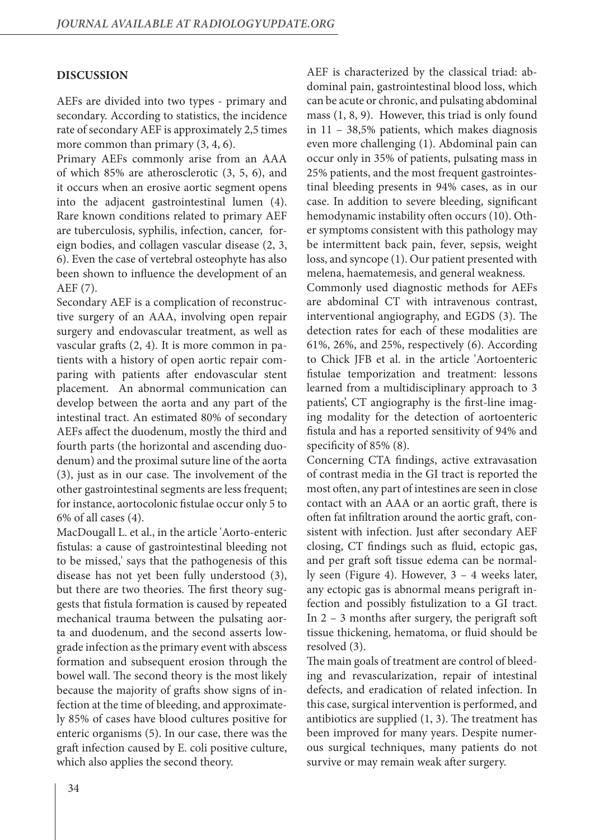#### **DISCUSSION**

AEFs are divided into two types - primary and secondary. According to statistics, the incidence rate of secondary AEF is approximately 2,5 times more common than primary  $(3, 4, 6)$ .

Primary AEFs commonly arise from an AAA of which 85% are atherosclerotic (3, 5, 6), and it occurs when an erosive aortic segment opens into the adjacent gastrointestinal lumen (4). Rare known conditions related to primary AEF are tuberculosis, syphilis, infection, cancer, foreign bodies, and collagen vascular disease (2, 3, 6). Even the case of vertebral osteophyte has also been shown to influence the development of an AEF (7).

Secondary AEF is a complication of reconstructive surgery of an AAA, involving open repair surgery and endovascular treatment, as well as vascular grafts (2, 4). It is more common in patients with a history of open aortic repair comparing with patients after endovascular stent placement. An abnormal communication can develop between the aorta and any part of the intestinal tract. An estimated 80% of secondary AEFs affect the duodenum, mostly the third and fourth parts (the horizontal and ascending duodenum) and the proximal suture line of the aorta (3), just as in our case. The involvement of the other gastrointestinal segments are less frequent; for instance, aortocolonic fistulae occur only 5 to 6% of all cases (4).

MacDougall L. et al., in the article 'Aorto-enteric fistulas: a cause of gastrointestinal bleeding not to be missed,' says that the pathogenesis of this disease has not yet been fully understood (3), but there are two theories. The first theory suggests that fistula formation is caused by repeated mechanical trauma between the pulsating aorta and duodenum, and the second asserts lowgrade infection as the primary event with abscess formation and subsequent erosion through the bowel wall. The second theory is the most likely because the majority of grafts show signs of infection at the time of bleeding, and approximately 85% of cases have blood cultures positive for enteric organisms (5). In our case, there was the graft infection caused by E. coli positive culture, which also applies the second theory.

AEF is characterized by the classical triad: abdominal pain, gastrointestinal blood loss, which can be acute or chronic, and pulsating abdominal mass (1, 8, 9). However, this triad is only found in 11 – 38,5% patients, which makes diagnosis even more challenging (1). Abdominal pain can occur only in 35% of patients, pulsating mass in 25% patients, and the most frequent gastrointestinal bleeding presents in 94% cases, as in our case. In addition to severe bleeding, significant hemodynamic instability often occurs (10). Other symptoms consistent with this pathology may be intermittent back pain, fever, sepsis, weight loss, and syncope (1). Our patient presented with melena, haematemesis, and general weakness.

Commonly used diagnostic methods for AEFs are abdominal CT with intravenous contrast, interventional angiography, and EGDS (3). The detection rates for each of these modalities are 61%, 26%, and 25%, respectively (6). According to Chick JFB et al. in the article 'Aortoenteric fistulae temporization and treatment: lessons learned from a multidisciplinary approach to 3 patients', CT angiography is the first-line imaging modality for the detection of aortoenteric fistula and has a reported sensitivity of 94% and specificity of 85% (8).

Concerning CTA findings, active extravasation of contrast media in the GI tract is reported the most often, any part of intestines are seen in close contact with an AAA or an aortic graft, there is often fat infiltration around the aortic graft, consistent with infection. Just after secondary AEF closing, CT findings such as fluid, ectopic gas, and per graft soft tissue edema can be normally seen (Figure 4). However, 3 – 4 weeks later, any ectopic gas is abnormal means perigraft infection and possibly fistulization to a GI tract. In 2 – 3 months after surgery, the perigraft soft tissue thickening, hematoma, or fluid should be resolved (3).

The main goals of treatment are control of bleeding and revascularization, repair of intestinal defects, and eradication of related infection. In this case, surgical intervention is performed, and antibiotics are supplied (1, 3). The treatment has been improved for many years. Despite numerous surgical techniques, many patients do not survive or may remain weak after surgery.